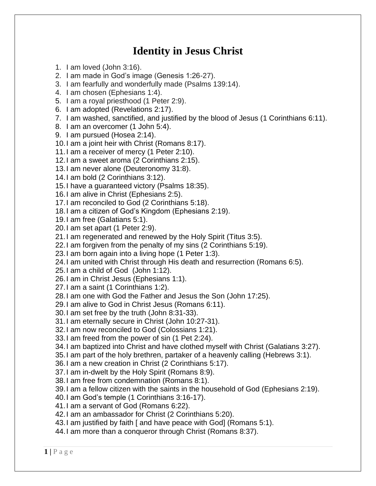## **Identity in Jesus Christ**

- 1. I am loved (John 3:16).
- 2. I am made in God's image (Genesis 1:26-27).
- 3. I am fearfully and wonderfully made (Psalms 139:14).
- 4. I am chosen (Ephesians 1:4).
- 5. I am a royal priesthood (1 Peter 2:9).
- 6. I am adopted (Revelations 2:17).
- 7. I am washed, sanctified, and justified by the blood of Jesus (1 [Corinthians](https://biblia.com/bible/kjv1900/1%20Cor%206.11) 6:11).
- 8. I am an overcomer (1 John 5:4).
- 9. I am pursued (Hosea 2:14).
- 10.I am a joint heir with Christ (Romans 8:17).
- 11.I am a receiver of mercy (1 Peter 2:10).
- 12.I am a sweet aroma (2 Corinthians 2:15).
- 13.I am never alone (Deuteronomy 31:8).
- 14.I am bold (2 Corinthians 3:12).
- 15.I have a guaranteed victory (Psalms 18:35).
- 16.I am alive in Christ (Ephesians 2:5).
- 17.I am reconciled to God (2 Corinthians 5:18).
- 18.I am a citizen of God's Kingdom (Ephesians 2:19).
- 19.I am free (Galatians 5:1).
- 20.I am set apart (1 Peter 2:9).
- 21.I am regenerated and renewed by the Holy Spirit [\(Titus](https://biblia.com/bible/kjv1900/Titus%203.5) 3:5).
- 22.I am forgiven from the penalty of my sins (2 [Corinthians](https://biblia.com/bible/kjv1900/2%20Cor%205.19) 5:19).
- 23.I am born again into a living hope (1 [Peter](https://biblia.com/bible/kjv1900/1%20Pet%201.3) 1:3).
- 24.I am united with Christ through His death and resurrection [\(Romans](https://biblia.com/bible/kjv1900/Rom%206.5) 6:5).
- 25.I am a child of God [\(John](https://biblia.com/bible/kjv1900/John%201.12) 1:12).
- 26.I am in Christ Jesus [\(Ephesians](https://biblia.com/bible/kjv1900/Eph%201.1) 1:1).
- 27.I am a saint (1 [Corinthians](https://biblia.com/bible/kjv1900/1%20Cor%201.2) 1:2).
- 28.I am one with God the Father and Jesus the Son (John [17:25\)](https://biblia.com/bible/kjv1900/John%2017.25).
- 29.I am alive to God in Christ Jesus [\(Romans](https://biblia.com/bible/kjv1900/Rom%206.11) 6:11).
- 30.I am set free by the truth (John [8:31-33\)](https://biblia.com/bible/kjv1900/John%208.31-33).
- 31.I am eternally secure in Christ (John [10:27-31\)](https://biblia.com/bible/kjv1900/John%2010.27-31).
- 32.I am now reconciled to God [\(Colossians](https://biblia.com/bible/kjv1900/Col%201.21) 1:21).
- 33.I am freed from the power of sin (1 Pet [2:24\)](https://biblia.com/bible/kjv1900/1%20Pet%202.24).
- 34.I am baptized into Christ and have clothed myself with Christ [\(Galatians](https://biblia.com/bible/kjv1900/Gal%203.27) 3:27).
- 35.I am part of the holy brethren, partaker of a heavenly calling [\(Hebrews](https://biblia.com/bible/kjv1900/Heb%203.1) 3:1).
- 36.I am a new creation in Christ (2 [Corinthians](https://biblia.com/bible/kjv1900/2%20Cor%205.17) 5:17).
- 37.I am in-dwelt by the Holy Spirit [\(Romans](https://biblia.com/bible/kjv1900/Rom%208.9) 8:9).
- 38.I am free from condemnation [\(Romans](https://biblia.com/bible/kjv1900/Rom%208.1) 8:1).
- 39.I am a fellow citizen with the saints in the household of God [\(Ephesians](https://biblia.com/bible/kjv1900/Eph%202.19) 2:19).
- 40.I am God's temple (1 [Corinthians](https://biblia.com/bible/kjv1900/1%20Cor%203.16-17) 3:16-17).
- 41.I am a servant of God [\(Romans](https://biblia.com/bible/kjv1900/Rom%206.22) 6:22).
- 42.I am an ambassador for Christ (2 [Corinthians](https://biblia.com/bible/kjv1900/2%20Cor%205.20) 5:20).
- 43.I am justified by faith [ and have peace with God] [\(Romans](https://biblia.com/bible/kjv1900/Rom%205.1) 5:1).
- 44.I am more than a conqueror through Christ [\(Romans](https://biblia.com/bible/kjv1900/Rom%208.37) 8:37).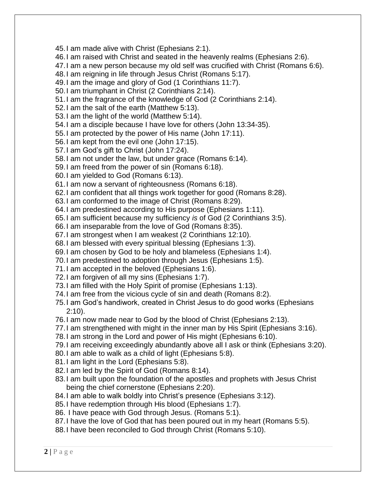45.I am made alive with Christ [\(Ephesians](https://biblia.com/bible/kjv1900/Eph%202.1) 2:1).

46.I am raised with Christ and seated in the heavenly realms [\(Ephesians](https://biblia.com/bible/kjv1900/Eph%202.6) 2:6).

- 47.I am a new person because my old self was crucified with Christ [\(Romans](https://biblia.com/bible/kjv1900/Rom%206.6) 6:6).
- 48.I am reigning in life through Jesus Christ [\(Romans](https://biblia.com/bible/kjv1900/Rom%205.17) 5:17).
- 49.I am the image and glory of God (1 [Corinthians](https://biblia.com/bible/kjv1900/1%20Cor%2011.7) 11:7).
- 50.I am triumphant in Christ (2 [Corinthians](https://biblia.com/bible/kjv1900/2%20Cor%202.14) 2:14).
- 51.I am the fragrance of the knowledge of God (2 [Corinthians](https://biblia.com/bible/kjv1900/2%20Cor%202.14) 2:14).
- 52.I am the salt of the earth [\(Matthew](https://biblia.com/bible/kjv1900/Matt%205.13) 5:13).
- 53.I am the light of the world [\(Matthew](https://biblia.com/bible/kjv1900/Matt%205.14) 5:14).
- 54.I am a disciple because I have love for others (John [13:34-35\)](https://biblia.com/bible/kjv1900/John%2013.34-35).
- 55.I am protected by the power of His name (John [17:11\)](https://biblia.com/bible/kjv1900/John%2017.11).
- 56.I am kept from the evil one (John [17:15\)](https://biblia.com/bible/kjv1900/John%2017.15).
- 57.I am God's gift to Christ (John [17:24\)](https://biblia.com/bible/kjv1900/John%2017.24).
- 58.I am not under the law, but under grace [\(Romans](https://biblia.com/bible/kjv1900/Rom%206.14) 6:14).
- 59.I am freed from the power of sin [\(Romans](https://biblia.com/bible/kjv1900/Rom%206.18) 6:18).
- 60.I am yielded to God [\(Romans](https://biblia.com/bible/kjv1900/Rom%206.13) 6:13).
- 61.I am now a servant of righteousness [\(Romans](https://biblia.com/bible/kjv1900/Rom%206.18) 6:18).
- 62.I am confident that all things work together for good [\(Romans](https://biblia.com/bible/kjv1900/Rom%208.28) 8:28).
- 63.I am conformed to the image of Christ [\(Romans](https://biblia.com/bible/kjv1900/Rom%208.29) 8:29).
- 64.I am predestined according to His purpose [\(Ephesians](https://biblia.com/bible/kjv1900/Eph%201.11) 1:11).
- 65.I am sufficient because my sufficiency *is* of God (2 [Corinthians](https://biblia.com/bible/kjv1900/2%20Cor%203.5) 3:5).
- 66.I am inseparable from the love of God [\(Romans](https://biblia.com/bible/kjv1900/Rom%208.35) 8:35).
- 67.I am strongest when I am weakest (2 [Corinthians](https://biblia.com/bible/kjv1900/2%20Cor%2012.10) 12:10).
- 68.I am blessed with every spiritual blessing [\(Ephesians](https://biblia.com/bible/kjv1900/Eph%201.3) 1:3).
- 69.I am chosen by God to be holy and blameless [\(Ephesians](https://biblia.com/bible/kjv1900/Eph%201.4) 1:4).
- 70.I am predestined to adoption through Jesus [\(Ephesians](https://biblia.com/bible/kjv1900/Eph%201.5) 1:5).
- 71.I am accepted in the beloved [\(Ephesians](https://biblia.com/bible/kjv1900/Eph%201.6) 1:6).
- 72.I am forgiven of all my sins [\(Ephesians](https://biblia.com/bible/kjv1900/Eph%201.7) 1:7).
- 73.I am filled with the Holy Spirit of promise [\(Ephesians](https://biblia.com/bible/kjv1900/Eph%201.13) 1:13).
- 74.I am free from the vicious cycle of sin and death [\(Romans](https://biblia.com/bible/kjv1900/Rom%208.2) 8:2).
- 75.I am God's handiwork, created in Christ Jesus to do good works [\(Ephesians](https://biblia.com/bible/kjv1900/Eph%202.10) [2:10\)](https://biblia.com/bible/kjv1900/Eph%202.10).
- 76.I am now made near to God by the blood of Christ [\(Ephesians](https://biblia.com/bible/kjv1900/Eph%202.13) 2:13).
- 77.I am strengthened with might in the inner man by His Spirit [\(Ephesians](https://biblia.com/bible/kjv1900/Eph%203.16) 3:16).
- 78.I am strong in the Lord and power of His might [\(Ephesians](https://biblia.com/bible/kjv1900/Eph%206.10) 6:10).
- 79.I am receiving exceedingly abundantly above all I ask or think [\(Ephesians](https://biblia.com/bible/kjv1900/Eph%203.20) 3:20).
- 80.I am able to walk as a child of light [\(Ephesians](https://biblia.com/bible/kjv1900/Eph%205.8) 5:8).
- 81.I am light in the Lord [\(Ephesians](https://biblia.com/bible/kjv1900/Eph%205.8) 5:8).
- 82.I am led by the Spirit of God [\(Romans](https://biblia.com/bible/kjv1900/Rom%208.14) 8:14).
- 83.I am built upon the foundation of the apostles and prophets with Jesus Christ being the chief cornerstone [\(Ephesians](https://biblia.com/bible/kjv1900/Eph%202.20) 2:20).
- 84.I am able to walk boldly into Christ's presence [\(Ephesians](https://biblia.com/bible/kjv1900/Eph%203.12) 3:12).
- 85.I have redemption through His blood [\(Ephesians](https://biblia.com/bible/kjv1900/Eph%201.7) 1:7).
- 86. I have peace with God through Jesus. [\(Romans](https://biblia.com/bible/kjv1900/Rom%205.1) 5:1).
- 87.I have the love of God that has been poured out in my heart [\(Romans](https://biblia.com/bible/kjv1900/Rom%205.5) 5:5).
- 88.I have been reconciled to God through Christ [\(Romans](https://biblia.com/bible/kjv1900/Rom%205.10) 5:10).